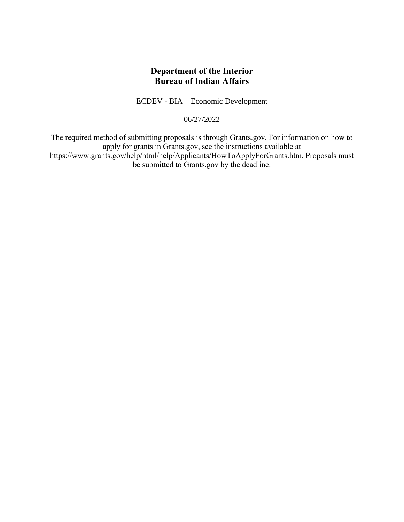# **Department of the Interior Bureau of Indian Affairs**

ECDEV - BIA – Economic Development

06/27/2022

The required method of submitting proposals is through Grants.gov. For information on how to apply for grants in Grants.gov, see the instructions available at https://www.grants.gov/help/html/help/Applicants/HowToApplyForGrants.htm. Proposals must be submitted to Grants.gov by the deadline.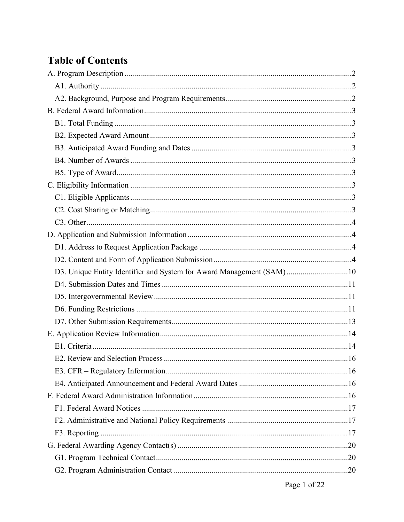# **Table of Contents**

| D3. Unique Entity Identifier and System for Award Management (SAM)10 |  |
|----------------------------------------------------------------------|--|
|                                                                      |  |
|                                                                      |  |
|                                                                      |  |
|                                                                      |  |
|                                                                      |  |
|                                                                      |  |
|                                                                      |  |
|                                                                      |  |
|                                                                      |  |
|                                                                      |  |
|                                                                      |  |
|                                                                      |  |
|                                                                      |  |
|                                                                      |  |
|                                                                      |  |
|                                                                      |  |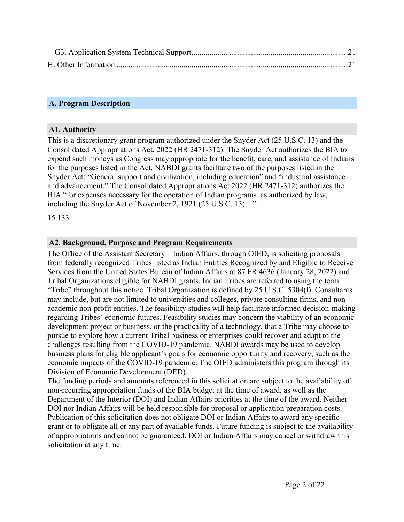### <span id="page-2-0"></span>**A. Program Description**

#### <span id="page-2-1"></span>**A1. Authority**

This is a discretionary grant program authorized under the Snyder Act (25 U.S.C. 13) and the Consolidated Appropriations Act, 2022 (HR 2471-312). The Snyder Act authorizes the BIA to expend such moneys as Congress may appropriate for the benefit, care, and assistance of Indians for the purposes listed in the Act. NABDI grants facilitate two of the purposes listed in the Snyder Act: "General support and civilization, including education" and "industrial assistance and advancement." The Consolidated Appropriations Act 2022 (HR 2471-312) authorizes the BIA "for expenses necessary for the operation of Indian programs, as authorized by law, including the Snyder Act of November 2, 1921 (25 U.S.C. 13)…".

15.133

#### <span id="page-2-2"></span>**A2. Background, Purpose and Program Requirements**

The Office of the Assistant Secretary – Indian Affairs, through OIED, is soliciting proposals from federally recognized Tribes listed as Indian Entities Recognized by and Eligible to Receive Services from the United States Bureau of Indian Affairs at 87 FR 4636 (January 28, 2022) and Tribal Organizations eligible for NABDI grants. Indian Tribes are referred to using the term "Tribe" throughout this notice. Tribal Organization is defined by 25 U.S.C. 5304(l). Consultants may include, but are not limited to universities and colleges, private consulting firms, and nonacademic non-profit entities. The feasibility studies will help facilitate informed decision-making regarding Tribes' economic futures. Feasibility studies may concern the viability of an economic development project or business, or the practicality of a technology, that a Tribe may choose to pursue to explore how a current Tribal business or enterprises could recover and adapt to the challenges resulting from the COVID-19 pandemic. NABDI awards may be used to develop business plans for eligible applicant's goals for economic opportunity and recovery, such as the economic impacts of the COVID-19 pandemic. The OIED administers this program through its Division of Economic Development (DED).

The funding periods and amounts referenced in this solicitation are subject to the availability of non-recurring appropriation funds of the BIA budget at the time of award, as well as the Department of the Interior (DOI) and Indian Affairs priorities at the time of the award. Neither DOI nor Indian Affairs will be held responsible for proposal or application preparation costs. Publication of this solicitation does not obligate DOI or Indian Affairs to award any specific grant or to obligate all or any part of available funds. Future funding is subject to the availability of appropriations and cannot be guaranteed. DOI or Indian Affairs may cancel or withdraw this solicitation at any time.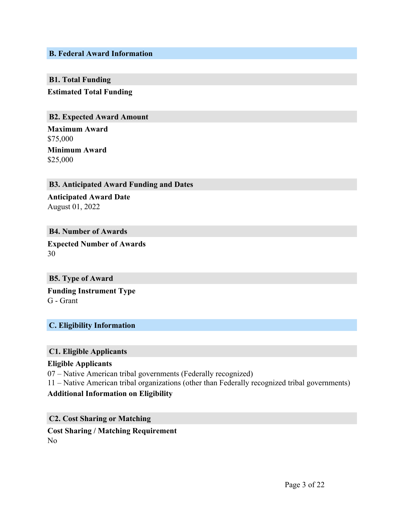#### <span id="page-3-0"></span>**B. Federal Award Information**

#### <span id="page-3-1"></span>**B1. Total Funding**

**Estimated Total Funding**

#### <span id="page-3-2"></span>**B2. Expected Award Amount**

**Maximum Award** \$75,000 **Minimum Award**

\$25,000

#### <span id="page-3-3"></span>**B3. Anticipated Award Funding and Dates**

**Anticipated Award Date** August 01, 2022

#### <span id="page-3-4"></span>**B4. Number of Awards**

**Expected Number of Awards** 30

#### <span id="page-3-5"></span>**B5. Type of Award**

**Funding Instrument Type** G - Grant

#### <span id="page-3-6"></span>**C. Eligibility Information**

#### <span id="page-3-7"></span>**C1. Eligible Applicants**

#### **Eligible Applicants**

07 – Native American tribal governments (Federally recognized)

11 – Native American tribal organizations (other than Federally recognized tribal governments)

#### **Additional Information on Eligibility**

<span id="page-3-8"></span>**C2. Cost Sharing or Matching Cost Sharing / Matching Requirement**

No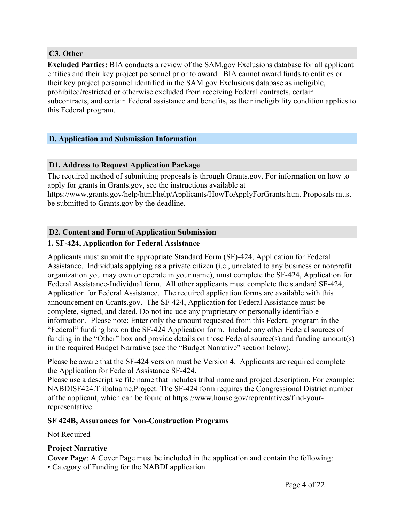#### <span id="page-4-0"></span>**C3. Other**

**Excluded Parties:** BIA conducts a review of the SAM.gov Exclusions database for all applicant entities and their key project personnel prior to award. BIA cannot award funds to entities or their key project personnel identified in the SAM.gov Exclusions database as ineligible, prohibited/restricted or otherwise excluded from receiving Federal contracts, certain subcontracts, and certain Federal assistance and benefits, as their ineligibility condition applies to this Federal program.

#### <span id="page-4-1"></span>**D. Application and Submission Information**

#### <span id="page-4-2"></span>**D1. Address to Request Application Package**

The required method of submitting proposals is through Grants.gov. For information on how to apply for grants in Grants.gov, see the instructions available at https://www.grants.gov/help/html/help/Applicants/HowToApplyForGrants.htm. Proposals must be submitted to Grants.gov by the deadline.

#### <span id="page-4-3"></span>**D2. Content and Form of Application Submission**

#### **1. SF-424, Application for Federal Assistance**

Applicants must submit the appropriate Standard Form (SF)-424, Application for Federal Assistance. Individuals applying as a private citizen (i.e., unrelated to any business or nonprofit organization you may own or operate in your name), must complete the SF-424, Application for Federal Assistance-Individual form. All other applicants must complete the standard SF-424, Application for Federal Assistance. The required application forms are available with this announcement on Grants.gov. The SF-424, Application for Federal Assistance must be complete, signed, and dated. Do not include any proprietary or personally identifiable information. Please note: Enter only the amount requested from this Federal program in the "Federal" funding box on the SF-424 Application form. Include any other Federal sources of funding in the "Other" box and provide details on those Federal source(s) and funding amount(s) in the required Budget Narrative (see the "Budget Narrative" section below).

Please be aware that the SF-424 version must be Version 4. Applicants are required complete the Application for Federal Assistance SF-424.

Please use a descriptive file name that includes tribal name and project description. For example: NABDISF424.Tribalname.Project. The SF-424 form requires the Congressional District number of the applicant, which can be found at https://www.house.gov/reprentatives/find-yourrepresentative.

#### **SF 424B, Assurances for Non-Construction Programs**

#### Not Required

#### **Project Narrative**

**Cover Page**: A Cover Page must be included in the application and contain the following: • Category of Funding for the NABDI application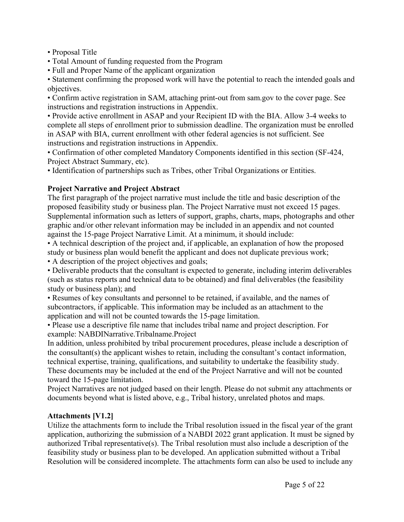- Proposal Title
- Total Amount of funding requested from the Program
- Full and Proper Name of the applicant organization

• Statement confirming the proposed work will have the potential to reach the intended goals and objectives.

• Confirm active registration in SAM, attaching print-out from sam.gov to the cover page. See instructions and registration instructions in Appendix.

• Provide active enrollment in ASAP and your Recipient ID with the BIA. Allow 3-4 weeks to complete all steps of enrollment prior to submission deadline. The organization must be enrolled in ASAP with BIA, current enrollment with other federal agencies is not sufficient. See instructions and registration instructions in Appendix.

• Confirmation of other completed Mandatory Components identified in this section (SF-424, Project Abstract Summary, etc).

• Identification of partnerships such as Tribes, other Tribal Organizations or Entities.

# **Project Narrative and Project Abstract**

The first paragraph of the project narrative must include the title and basic description of the proposed feasibility study or business plan. The Project Narrative must not exceed 15 pages. Supplemental information such as letters of support, graphs, charts, maps, photographs and other graphic and/or other relevant information may be included in an appendix and not counted against the 15-page Project Narrative Limit. At a minimum, it should include:

• A technical description of the project and, if applicable, an explanation of how the proposed study or business plan would benefit the applicant and does not duplicate previous work;

• A description of the project objectives and goals;

• Deliverable products that the consultant is expected to generate, including interim deliverables (such as status reports and technical data to be obtained) and final deliverables (the feasibility study or business plan); and

• Resumes of key consultants and personnel to be retained, if available, and the names of subcontractors, if applicable. This information may be included as an attachment to the application and will not be counted towards the 15-page limitation.

• Please use a descriptive file name that includes tribal name and project description. For example: NABDINarrative.Tribalname.Project

In addition, unless prohibited by tribal procurement procedures, please include a description of the consultant(s) the applicant wishes to retain, including the consultant's contact information, technical expertise, training, qualifications, and suitability to undertake the feasibility study. These documents may be included at the end of the Project Narrative and will not be counted toward the 15-page limitation.

Project Narratives are not judged based on their length. Please do not submit any attachments or documents beyond what is listed above, e.g., Tribal history, unrelated photos and maps.

#### **Attachments [V1.2]**

Utilize the attachments form to include the Tribal resolution issued in the fiscal year of the grant application, authorizing the submission of a NABDI 2022 grant application. It must be signed by authorized Tribal representative(s). The Tribal resolution must also include a description of the feasibility study or business plan to be developed. An application submitted without a Tribal Resolution will be considered incomplete. The attachments form can also be used to include any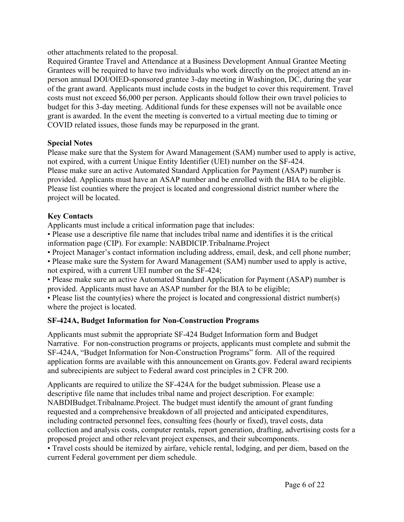other attachments related to the proposal.

Required Grantee Travel and Attendance at a Business Development Annual Grantee Meeting Grantees will be required to have two individuals who work directly on the project attend an inperson annual DOI/OIED-sponsored grantee 3-day meeting in Washington, DC, during the year of the grant award. Applicants must include costs in the budget to cover this requirement. Travel costs must not exceed \$6,000 per person. Applicants should follow their own travel policies to budget for this 3-day meeting. Additional funds for these expenses will not be available once grant is awarded. In the event the meeting is converted to a virtual meeting due to timing or COVID related issues, those funds may be repurposed in the grant.

#### **Special Notes**

Please make sure that the System for Award Management (SAM) number used to apply is active, not expired, with a current Unique Entity Identifier (UEI) number on the SF-424. Please make sure an active Automated Standard Application for Payment (ASAP) number is provided. Applicants must have an ASAP number and be enrolled with the BIA to be eligible. Please list counties where the project is located and congressional district number where the project will be located.

# **Key Contacts**

Applicants must include a critical information page that includes:

• Please use a descriptive file name that includes tribal name and identifies it is the critical information page (CIP). For example: NABDICIP.Tribalname.Project

• Project Manager's contact information including address, email, desk, and cell phone number;

• Please make sure the System for Award Management (SAM) number used to apply is active, not expired, with a current UEI number on the SF-424;

• Please make sure an active Automated Standard Application for Payment (ASAP) number is provided. Applicants must have an ASAP number for the BIA to be eligible;

• Please list the county(ies) where the project is located and congressional district number(s) where the project is located.

# **SF-424A, Budget Information for Non-Construction Programs**

Applicants must submit the appropriate SF-424 Budget Information form and Budget Narrative. For non-construction programs or projects, applicants must complete and submit the SF-424A, "Budget Information for Non-Construction Programs" form. All of the required application forms are available with this announcement on Grants.gov. Federal award recipients and subrecipients are subject to Federal award cost principles in 2 CFR 200.

Applicants are required to utilize the SF-424A for the budget submission. Please use a descriptive file name that includes tribal name and project description. For example: NABDIBudget.Tribalname.Project. The budget must identify the amount of grant funding requested and a comprehensive breakdown of all projected and anticipated expenditures, including contracted personnel fees, consulting fees (hourly or fixed), travel costs, data collection and analysis costs, computer rentals, report generation, drafting, advertising costs for a proposed project and other relevant project expenses, and their subcomponents.

• Travel costs should be itemized by airfare, vehicle rental, lodging, and per diem, based on the current Federal government per diem schedule.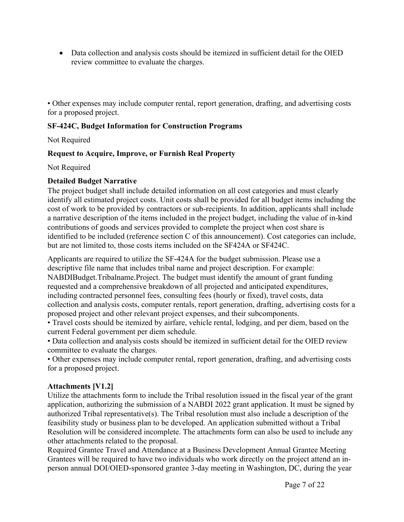• Data collection and analysis costs should be itemized in sufficient detail for the OIED review committee to evaluate the charges.

• Other expenses may include computer rental, report generation, drafting, and advertising costs for a proposed project.

# **SF-424C, Budget Information for Construction Programs**

#### Not Required

#### **Request to Acquire, Improve, or Furnish Real Property**

Not Required

#### **Detailed Budget Narrative**

The project budget shall include detailed information on all cost categories and must clearly identify all estimated project costs. Unit costs shall be provided for all budget items including the cost of work to be provided by contractors or sub-recipients. In addition, applicants shall include a narrative description of the items included in the project budget, including the value of in-kind contributions of goods and services provided to complete the project when cost share is identified to be included (reference section C of this announcement). Cost categories can include, but are not limited to, those costs items included on the SF424A or SF424C.

Applicants are required to utilize the SF-424A for the budget submission. Please use a descriptive file name that includes tribal name and project description. For example: NABDIBudget.Tribalname.Project. The budget must identify the amount of grant funding requested and a comprehensive breakdown of all projected and anticipated expenditures, including contracted personnel fees, consulting fees (hourly or fixed), travel costs, data collection and analysis costs, computer rentals, report generation, drafting, advertising costs for a proposed project and other relevant project expenses, and their subcomponents.

• Travel costs should be itemized by airfare, vehicle rental, lodging, and per diem, based on the current Federal government per diem schedule.

• Data collection and analysis costs should be itemized in sufficient detail for the OIED review committee to evaluate the charges.

• Other expenses may include computer rental, report generation, drafting, and advertising costs for a proposed project.

#### **Attachments [V1.2]**

Utilize the attachments form to include the Tribal resolution issued in the fiscal year of the grant application, authorizing the submission of a NABDI 2022 grant application. It must be signed by authorized Tribal representative(s). The Tribal resolution must also include a description of the feasibility study or business plan to be developed. An application submitted without a Tribal Resolution will be considered incomplete. The attachments form can also be used to include any other attachments related to the proposal.

Required Grantee Travel and Attendance at a Business Development Annual Grantee Meeting Grantees will be required to have two individuals who work directly on the project attend an inperson annual DOI/OIED-sponsored grantee 3-day meeting in Washington, DC, during the year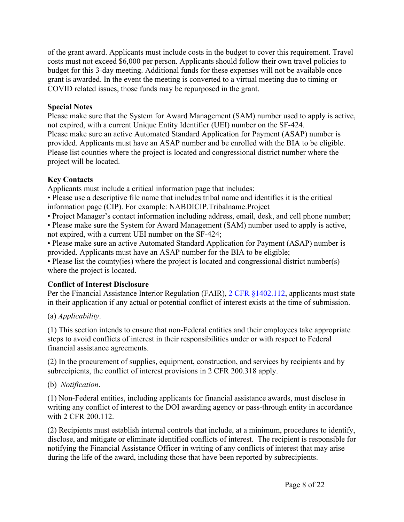of the grant award. Applicants must include costs in the budget to cover this requirement. Travel costs must not exceed \$6,000 per person. Applicants should follow their own travel policies to budget for this 3-day meeting. Additional funds for these expenses will not be available once grant is awarded. In the event the meeting is converted to a virtual meeting due to timing or COVID related issues, those funds may be repurposed in the grant.

#### **Special Notes**

Please make sure that the System for Award Management (SAM) number used to apply is active, not expired, with a current Unique Entity Identifier (UEI) number on the SF-424. Please make sure an active Automated Standard Application for Payment (ASAP) number is provided. Applicants must have an ASAP number and be enrolled with the BIA to be eligible. Please list counties where the project is located and congressional district number where the project will be located.

# **Key Contacts**

Applicants must include a critical information page that includes:

• Please use a descriptive file name that includes tribal name and identifies it is the critical information page (CIP). For example: NABDICIP.Tribalname.Project

- Project Manager's contact information including address, email, desk, and cell phone number;
- Please make sure the System for Award Management (SAM) number used to apply is active, not expired, with a current UEI number on the SF-424;

• Please make sure an active Automated Standard Application for Payment (ASAP) number is provided. Applicants must have an ASAP number for the BIA to be eligible;

• Please list the county(ies) where the project is located and congressional district number(s) where the project is located.

# **Conflict of Interest Disclosure**

Per the Financial Assistance Interior Regulation (FAIR), 2 CFR [§1402.112](https://www.ecfr.gov/cgi-bin/text-idx?SID=1bfd0da1190f850482e94794cca23a5d&mc=true&node=20190830y1.1), applicants must state in their application if any actual or potential conflict of interest exists at the time of submission.

(a) *Applicability*.

(1) This section intends to ensure that non-Federal entities and their employees take appropriate steps to avoid conflicts of interest in their responsibilities under or with respect to Federal financial assistance agreements.

(2) In the procurement of supplies, equipment, construction, and services by recipients and by subrecipients, the conflict of interest provisions in 2 CFR 200.318 apply.

# (b) *Notification*.

(1) Non-Federal entities, including applicants for financial assistance awards, must disclose in writing any conflict of interest to the DOI awarding agency or pass-through entity in accordance with 2 CFR 200.112.

(2) Recipients must establish internal controls that include, at a minimum, procedures to identify, disclose, and mitigate or eliminate identified conflicts of interest. The recipient is responsible for notifying the Financial Assistance Officer in writing of any conflicts of interest that may arise during the life of the award, including those that have been reported by subrecipients.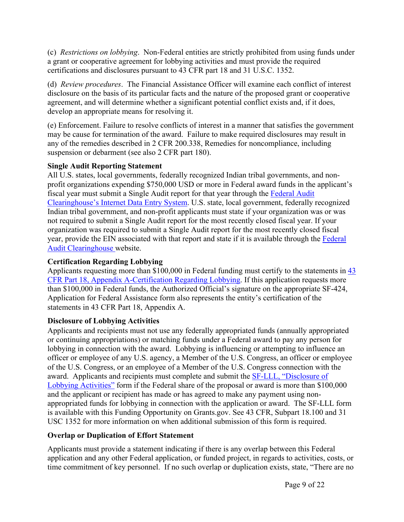(c) *Restrictions on lobbying*. Non-Federal entities are strictly prohibited from using funds under a grant or cooperative agreement for lobbying activities and must provide the required certifications and disclosures pursuant to 43 CFR part 18 and 31 U.S.C. 1352.

(d) *Review procedures*. The Financial Assistance Officer will examine each conflict of interest disclosure on the basis of its particular facts and the nature of the proposed grant or cooperative agreement, and will determine whether a significant potential conflict exists and, if it does, develop an appropriate means for resolving it.

(e) Enforcement. Failure to resolve conflicts of interest in a manner that satisfies the government may be cause for termination of the award. Failure to make required disclosures may result in any of the remedies described in 2 CFR 200.338, Remedies for noncompliance, including suspension or debarment (see also 2 CFR part 180).

# **Single Audit Reporting Statement**

All U.S. states, local governments, federally recognized Indian tribal governments, and nonprofit organizations expending \$750,000 USD or more in Federal award funds in the applicant's fiscal year must submit a Single Audit report for that year through the [Federal](https://harvester.census.gov/facides/Account/Login.aspx) Audit [Clearinghouse's](https://harvester.census.gov/facides/Account/Login.aspx) Internet Data Entry System. U.S. state, local government, federally recognized Indian tribal government, and non-profit applicants must state if your organization was or was not required to submit a Single Audit report for the most recently closed fiscal year. If your organization was required to submit a Single Audit report for the most recently closed fiscal year, provide the EIN associated with that report and state if it is available through the [Federal](https://harvester.census.gov/facdissem/Main.aspx) Audit [Clearinghouse](https://harvester.census.gov/facdissem/Main.aspx) website.

# **Certification Regarding Lobbying**

Applicants requesting more than \$100,000 in Federal funding must certify to the statements in [43](http://www.ecfr.gov/cgi-bin/text-idx?SID=683823273fc0da6a1060883eda593fb8&mc=true&node=pt43.1.18&rgn=div5) CFR Part 18, Appendix [A-Certification](http://www.ecfr.gov/cgi-bin/text-idx?SID=683823273fc0da6a1060883eda593fb8&mc=true&node=pt43.1.18&rgn=div5) Regarding Lobbying. If this application requests more than \$100,000 in Federal funds, the Authorized Official's signature on the appropriate SF-424, Application for Federal Assistance form also represents the entity's certification of the statements in 43 CFR Part 18, Appendix A.

# **Disclosure of Lobbying Activities**

Applicants and recipients must not use any federally appropriated funds (annually appropriated or continuing appropriations) or matching funds under a Federal award to pay any person for lobbying in connection with the award. Lobbying is influencing or attempting to influence an officer or employee of any U.S. agency, a Member of the U.S. Congress, an officer or employee of the U.S. Congress, or an employee of a Member of the U.S. Congress connection with the award. Applicants and recipients must complete and submit the SF-LLL, ["Disclosure](https://www.grants.gov/web/grants/forms/post-award-reporting-forms.html) of Lobbying [Activities"](https://www.grants.gov/web/grants/forms/post-award-reporting-forms.html) form if the Federal share of the proposal or award is more than \$100,000 and the applicant or recipient has made or has agreed to make any payment using nonappropriated funds for lobbying in connection with the application or award. The SF-LLL form is available with this Funding Opportunity on Grants.gov. See 43 CFR, Subpart 18.100 and 31 USC 1352 for more information on when additional submission of this form is required.

# **Overlap or Duplication of Effort Statement**

Applicants must provide a statement indicating if there is any overlap between this Federal application and any other Federal application, or funded project, in regards to activities, costs, or time commitment of key personnel. If no such overlap or duplication exists, state, "There are no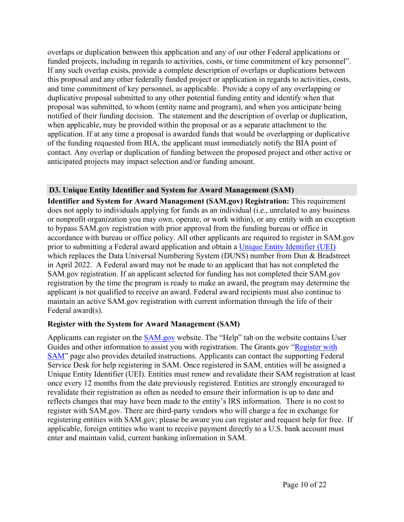overlaps or duplication between this application and any of our other Federal applications or funded projects, including in regards to activities, costs, or time commitment of key personnel". If any such overlap exists, provide a complete description of overlaps or duplications between this proposal and any other federally funded project or application in regards to activities, costs, and time commitment of key personnel, as applicable. Provide a copy of any overlapping or duplicative proposal submitted to any other potential funding entity and identify when that proposal was submitted, to whom (entity name and program), and when you anticipate being notified of their funding decision. The statement and the description of overlap or duplication, when applicable, may be provided within the proposal or as a separate attachment to the application. If at any time a proposal is awarded funds that would be overlapping or duplicative of the funding requested from BIA, the applicant must immediately notify the BIA point of contact. Any overlap or duplication of funding between the proposed project and other active or anticipated projects may impact selection and/or funding amount.

# <span id="page-10-0"></span>**D3. Unique Entity Identifier and System for Award Management (SAM)**

**Identifier and System for Award Management (SAM.gov) Registration:** This requirement does not apply to individuals applying for funds as an individual (i.e., unrelated to any business or nonprofit organization you may own, operate, or work within), or any entity with an exception to bypass SAM.gov registration with prior approval from the funding bureau or office in accordance with bureau or office policy. All other applicants are required to register in SAM.gov prior to submitting a Federal award application and obtain a Unique Entity [Identifier](https://www.gsa.gov/about-us/organization/federal-acquisition-service/office-of-systems-management/integrated-award-environment-iae/iae-systems-information-kit/unique-entity-identifier-update) (UEI) which replaces the Data Universal Numbering System (DUNS) number from Dun & Bradstreet in April 2022. A Federal award may not be made to an applicant that has not completed the SAM.gov registration. If an applicant selected for funding has not completed their SAM.gov registration by the time the program is ready to make an award, the program may determine the applicant is not qualified to receive an award. Federal award recipients must also continue to maintain an active SAM.gov registration with current information through the life of their Federal award(s).

#### **Register with the System for Award Management (SAM)**

Applicants can register on the [SAM.gov](http://www.sam.gov) website. The "Help" tab on the website contains User Guides and other information to assist you with registration. The Grants.gov "[Register](https://www.grants.gov/help/html/help/Register/RegisterWithSAM.htm) with [SAM](https://www.grants.gov/help/html/help/Register/RegisterWithSAM.htm)" page also provides detailed instructions. Applicants can contact the supporting Federal Service Desk for help registering in SAM. Once registered in SAM, entities will be assigned a Unique Entity Identifier (UEI). Entities must renew and revalidate their SAM registration at least once every 12 months from the date previously registered. Entities are strongly encouraged to revalidate their registration as often as needed to ensure their information is up to date and reflects changes that may have been made to the entity's IRS information. There is no cost to register with SAM.gov. There are third-party vendors who will charge a fee in exchange for registering entities with SAM.gov; please be aware you can register and request help for free. If applicable, foreign entities who want to receive payment directly to a U.S. bank account must enter and maintain valid, current banking information in SAM.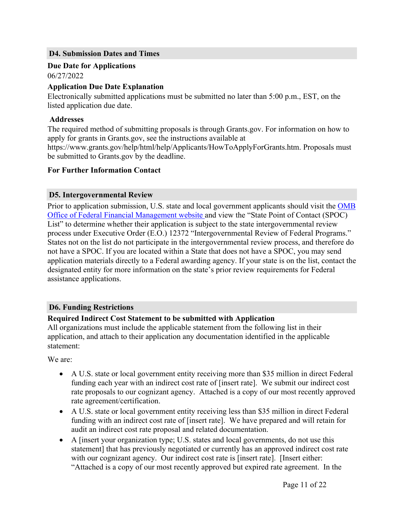#### <span id="page-11-0"></span>**D4. Submission Dates and Times**

# **Due Date for Applications**

06/27/2022

#### **Application Due Date Explanation**

Electronically submitted applications must be submitted no later than 5:00 p.m., EST, on the listed application due date.

#### **Addresses**

The required method of submitting proposals is through Grants.gov. For information on how to apply for grants in Grants.gov, see the instructions available at https://www.grants.gov/help/html/help/Applicants/HowToApplyForGrants.htm. Proposals must be submitted to Grants.gov by the deadline.

#### **For Further Information Contact**

#### <span id="page-11-1"></span>**D5. Intergovernmental Review**

Prior to application submission, U.S. state and local government applicants should visit the [OMB](https://www.whitehouse.gov/omb/management/office-federal-financial-management/) Office of Federal Financial [Management](https://www.whitehouse.gov/omb/management/office-federal-financial-management/) website and view the "State Point of Contact (SPOC) List" to determine whether their application is subject to the state intergovernmental review process under Executive Order (E.O.) 12372 "Intergovernmental Review of Federal Programs." States not on the list do not participate in the intergovernmental review process, and therefore do not have a SPOC. If you are located within a State that does not have a SPOC, you may send application materials directly to a Federal awarding agency. If your state is on the list, contact the designated entity for more information on the state's prior review requirements for Federal assistance applications.

#### <span id="page-11-2"></span>**D6. Funding Restrictions**

#### **Required Indirect Cost Statement to be submitted with Application**

All organizations must include the applicable statement from the following list in their application, and attach to their application any documentation identified in the applicable statement:

We are:

- A U.S. state or local government entity receiving more than \$35 million in direct Federal funding each year with an indirect cost rate of [insert rate]. We submit our indirect cost rate proposals to our cognizant agency. Attached is a copy of our most recently approved rate agreement/certification.
- A U.S. state or local government entity receiving less than \$35 million in direct Federal funding with an indirect cost rate of [insert rate]. We have prepared and will retain for audit an indirect cost rate proposal and related documentation.
- A [insert your organization type; U.S. states and local governments, do not use this statement] that has previously negotiated or currently has an approved indirect cost rate with our cognizant agency. Our indirect cost rate is [insert rate]. [Insert either: "Attached is a copy of our most recently approved but expired rate agreement. In the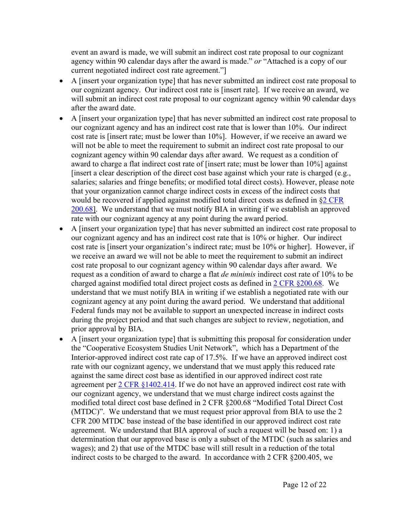event an award is made, we will submit an indirect cost rate proposal to our cognizant agency within 90 calendar days after the award is made." *or* "Attached is a copy of our current negotiated indirect cost rate agreement."]

- A [insert your organization type] that has never submitted an indirect cost rate proposal to our cognizant agency. Our indirect cost rate is [insert rate]. If we receive an award, we will submit an indirect cost rate proposal to our cognizant agency within 90 calendar days after the award date.
- A [insert your organization type] that has never submitted an indirect cost rate proposal to our cognizant agency and has an indirect cost rate that is lower than 10%. Our indirect cost rate is [insert rate; must be lower than 10%]. However, if we receive an award we will not be able to meet the requirement to submit an indirect cost rate proposal to our cognizant agency within 90 calendar days after award. We request as a condition of award to charge a flat indirect cost rate of [insert rate; must be lower than 10%] against [insert a clear description of the direct cost base against which your rate is charged (e.g., salaries; salaries and fringe benefits; or modified total direct costs). However, please note that your organization cannot charge indirect costs in excess of the indirect costs that would be recovered if applied against modified total direct costs as defined in §2 [CFR](https://www.ecfr.gov/cgi-bin/text-idx?SID=0bb1f5386f36f965f85dc05b2ad8a804&mc=true&node=pt2.1.200&rgn=div5#se2.1.200_168) [200.68](https://www.ecfr.gov/cgi-bin/text-idx?SID=0bb1f5386f36f965f85dc05b2ad8a804&mc=true&node=pt2.1.200&rgn=div5#se2.1.200_168)]. We understand that we must notify BIA in writing if we establish an approved rate with our cognizant agency at any point during the award period.
- A [insert your organization type] that has never submitted an indirect cost rate proposal to our cognizant agency and has an indirect cost rate that is 10% or higher. Our indirect cost rate is [insert your organization's indirect rate; must be 10% or higher]. However, if we receive an award we will not be able to meet the requirement to submit an indirect cost rate proposal to our cognizant agency within 90 calendar days after award. We request as a condition of award to charge a flat *de minimis* indirect cost rate of 10% to be charged against modified total direct project costs as defined in 2 CFR [§200.68](https://www.ecfr.gov/cgi-bin/text-idx?SID=0bb1f5386f36f965f85dc05b2ad8a804&mc=true&node=pt2.1.200&rgn=div5#se2.1.200_168). We understand that we must notify BIA in writing if we establish a negotiated rate with our cognizant agency at any point during the award period. We understand that additional Federal funds may not be available to support an unexpected increase in indirect costs during the project period and that such changes are subject to review, negotiation, and prior approval by BIA.
- A [insert your organization type] that is submitting this proposal for consideration under the "Cooperative Ecosystem Studies Unit Network", which has a Department of the Interior-approved indirect cost rate cap of 17.5%. If we have an approved indirect cost rate with our cognizant agency, we understand that we must apply this reduced rate against the same direct cost base as identified in our approved indirect cost rate agreement per 2 CFR [§1402.414.](https://www.ecfr.gov/cgi-bin/text-idx?SID=1bfd0da1190f850482e94794cca23a5d&mc=true&node=20190830y1.1) If we do not have an approved indirect cost rate with our cognizant agency, we understand that we must charge indirect costs against the modified total direct cost base defined in 2 CFR §200.68 "Modified Total Direct Cost (MTDC)". We understand that we must request prior approval from BIA to use the 2 CFR 200 MTDC base instead of the base identified in our approved indirect cost rate agreement. We understand that BIA approval of such a request will be based on: 1) a determination that our approved base is only a subset of the MTDC (such as salaries and wages); and 2) that use of the MTDC base will still result in a reduction of the total indirect costs to be charged to the award. In accordance with 2 CFR §200.405, we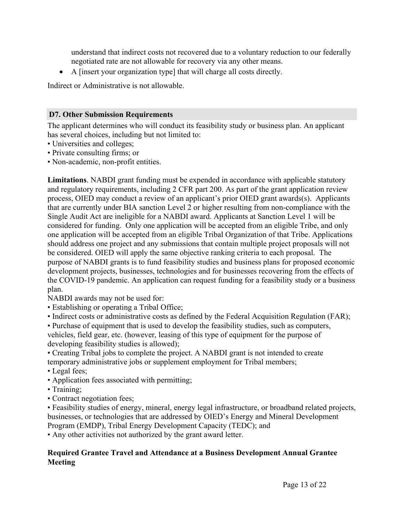understand that indirect costs not recovered due to a voluntary reduction to our federally negotiated rate are not allowable for recovery via any other means.

A [insert your organization type] that will charge all costs directly.

Indirect or Administrative is not allowable.

#### <span id="page-13-0"></span>**D7. Other Submission Requirements**

The applicant determines who will conduct its feasibility study or business plan. An applicant has several choices, including but not limited to:

- Universities and colleges;
- Private consulting firms; or
- Non-academic, non-profit entities.

**Limitations**. NABDI grant funding must be expended in accordance with applicable statutory and regulatory requirements, including 2 CFR part 200. As part of the grant application review process, OIED may conduct a review of an applicant's prior OIED grant awards(s). Applicants that are currently under BIA sanction Level 2 or higher resulting from non-compliance with the Single Audit Act are ineligible for a NABDI award. Applicants at Sanction Level 1 will be considered for funding. Only one application will be accepted from an eligible Tribe, and only one application will be accepted from an eligible Tribal Organization of that Tribe. Applications should address one project and any submissions that contain multiple project proposals will not be considered. OIED will apply the same objective ranking criteria to each proposal. The purpose of NABDI grants is to fund feasibility studies and business plans for proposed economic development projects, businesses, technologies and for businesses recovering from the effects of the COVID-19 pandemic. An application can request funding for a feasibility study or a business plan.

NABDI awards may not be used for:

- Establishing or operating a Tribal Office;
- Indirect costs or administrative costs as defined by the Federal Acquisition Regulation (FAR);

• Purchase of equipment that is used to develop the feasibility studies, such as computers, vehicles, field gear, etc. (however, leasing of this type of equipment for the purpose of developing feasibility studies is allowed);

• Creating Tribal jobs to complete the project. A NABDI grant is not intended to create temporary administrative jobs or supplement employment for Tribal members;

- Legal fees;
- Application fees associated with permitting;
- Training;
- Contract negotiation fees;

• Feasibility studies of energy, mineral, energy legal infrastructure, or broadband related projects, businesses, or technologies that are addressed by OIED's Energy and Mineral Development Program (EMDP), Tribal Energy Development Capacity (TEDC); and

• Any other activities not authorized by the grant award letter.

#### **Required Grantee Travel and Attendance at a Business Development Annual Grantee Meeting**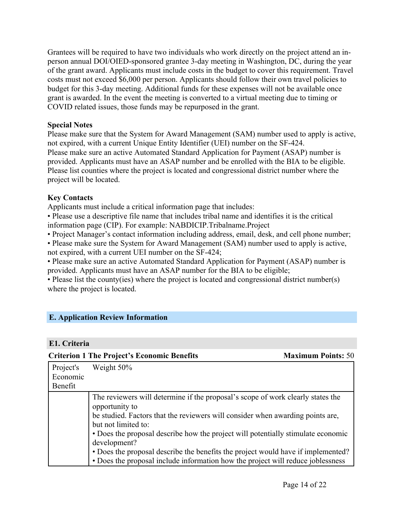Grantees will be required to have two individuals who work directly on the project attend an inperson annual DOI/OIED-sponsored grantee 3-day meeting in Washington, DC, during the year of the grant award. Applicants must include costs in the budget to cover this requirement. Travel costs must not exceed \$6,000 per person. Applicants should follow their own travel policies to budget for this 3-day meeting. Additional funds for these expenses will not be available once grant is awarded. In the event the meeting is converted to a virtual meeting due to timing or COVID related issues, those funds may be repurposed in the grant.

#### **Special Notes**

Please make sure that the System for Award Management (SAM) number used to apply is active, not expired, with a current Unique Entity Identifier (UEI) number on the SF-424. Please make sure an active Automated Standard Application for Payment (ASAP) number is provided. Applicants must have an ASAP number and be enrolled with the BIA to be eligible. Please list counties where the project is located and congressional district number where the project will be located.

#### **Key Contacts**

Applicants must include a critical information page that includes:

• Please use a descriptive file name that includes tribal name and identifies it is the critical information page (CIP). For example: NABDICIP.Tribalname.Project

• Project Manager's contact information including address, email, desk, and cell phone number;

• Please make sure the System for Award Management (SAM) number used to apply is active, not expired, with a current UEI number on the SF-424;

• Please make sure an active Automated Standard Application for Payment (ASAP) number is provided. Applicants must have an ASAP number for the BIA to be eligible;

• Please list the county(ies) where the project is located and congressional district number(s) where the project is located.

# <span id="page-14-0"></span>**E. Application Review Information**

#### <span id="page-14-1"></span>**E1. Criteria**

|           | <b>Criterion 1 The Project's Economic Benefits</b>                                                                                                                                                                                                                                                                                                                                                                                                                                    | <b>Maximum Points: 50</b> |
|-----------|---------------------------------------------------------------------------------------------------------------------------------------------------------------------------------------------------------------------------------------------------------------------------------------------------------------------------------------------------------------------------------------------------------------------------------------------------------------------------------------|---------------------------|
| Project's | Weight 50%                                                                                                                                                                                                                                                                                                                                                                                                                                                                            |                           |
| Economic  |                                                                                                                                                                                                                                                                                                                                                                                                                                                                                       |                           |
| Benefit   |                                                                                                                                                                                                                                                                                                                                                                                                                                                                                       |                           |
|           | The reviewers will determine if the proposal's scope of work clearly states the<br>opportunity to<br>be studied. Factors that the reviewers will consider when awarding points are,<br>but not limited to:<br>• Does the proposal describe how the project will potentially stimulate economic<br>development?<br>• Does the proposal describe the benefits the project would have if implemented?<br>• Does the proposal include information how the project will reduce joblessness |                           |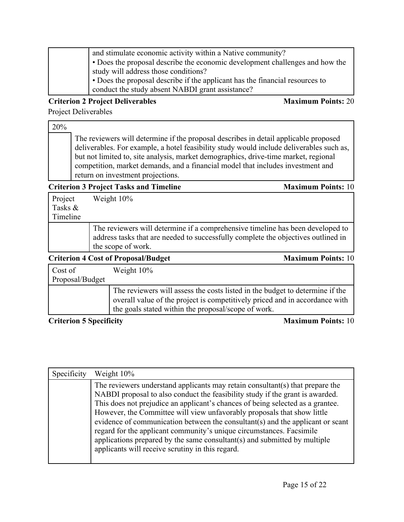| and stimulate economic activity within a Native community?                   |
|------------------------------------------------------------------------------|
| • Does the proposal describe the economic development challenges and how the |
| study will address those conditions?                                         |
| • Does the proposal describe if the applicant has the financial resources to |
| conduct the study absent NABDI grant assistance?                             |

#### **Criterion 2 Project Deliverables Maximum Points:** 20

Project Deliverables

20%

The reviewers will determine if the proposal describes in detail applicable proposed deliverables. For example, a hotel feasibility study would include deliverables such as, but not limited to, site analysis, market demographics, drive-time market, regional competition, market demands, and a financial model that includes investment and return on investment projections.

#### **Criterion 3 Project Tasks and Timeline Maximum Points:** 10

| Project  | Weight 10% |
|----------|------------|
| Tasks &  |            |
| Timeline |            |
|          |            |

The reviewers will determine if a comprehensive timeline has been developed to address tasks that are needed to successfully complete the objectives outlined in the scope of work.

| <b>Criterion 4 Cost of Proposal/Budget</b> | <b>Maximum Points: 10</b>                                                                                                                                                                                          |
|--------------------------------------------|--------------------------------------------------------------------------------------------------------------------------------------------------------------------------------------------------------------------|
| Cost of<br>Proposal/Budget                 | Weight $10\%$                                                                                                                                                                                                      |
|                                            | The reviewers will assess the costs listed in the budget to determine if the<br>overall value of the project is competitively priced and in accordance with<br>the goals stated within the proposal/scope of work. |

#### **Criterion 5** Specificity **Maximum Points:** 10

| Specificity | Weight 10%                                                                                                                                                                                                                                                                                                                                                                                                                                                                                                                                                                                                             |
|-------------|------------------------------------------------------------------------------------------------------------------------------------------------------------------------------------------------------------------------------------------------------------------------------------------------------------------------------------------------------------------------------------------------------------------------------------------------------------------------------------------------------------------------------------------------------------------------------------------------------------------------|
|             | The reviewers understand applicants may retain consultant(s) that prepare the<br>NABDI proposal to also conduct the feasibility study if the grant is awarded.<br>This does not prejudice an applicant's chances of being selected as a grantee.<br>However, the Committee will view unfavorably proposals that show little<br>evidence of communication between the consultant(s) and the applicant or scant<br>regard for the applicant community's unique circumstances. Facsimile<br>applications prepared by the same consultant(s) and submitted by multiple<br>applicants will receive scrutiny in this regard. |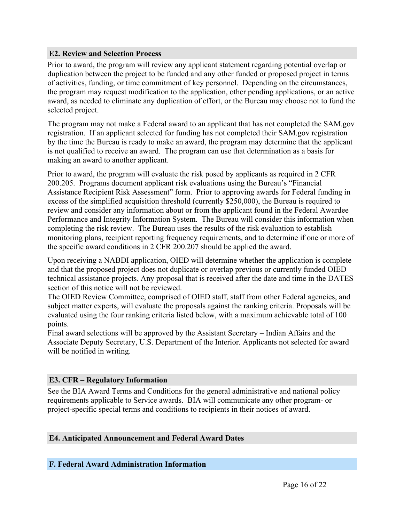#### <span id="page-16-0"></span>**E2. Review and Selection Process**

Prior to award, the program will review any applicant statement regarding potential overlap or duplication between the project to be funded and any other funded or proposed project in terms of activities, funding, or time commitment of key personnel. Depending on the circumstances, the program may request modification to the application, other pending applications, or an active award, as needed to eliminate any duplication of effort, or the Bureau may choose not to fund the selected project.

The program may not make a Federal award to an applicant that has not completed the SAM.gov registration. If an applicant selected for funding has not completed their SAM.gov registration by the time the Bureau is ready to make an award, the program may determine that the applicant is not qualified to receive an award. The program can use that determination as a basis for making an award to another applicant.

Prior to award, the program will evaluate the risk posed by applicants as required in 2 CFR 200.205. Programs document applicant risk evaluations using the Bureau's "Financial Assistance Recipient Risk Assessment" form. Prior to approving awards for Federal funding in excess of the simplified acquisition threshold (currently \$250,000), the Bureau is required to review and consider any information about or from the applicant found in the Federal Awardee Performance and Integrity Information System. The Bureau will consider this information when completing the risk review. The Bureau uses the results of the risk evaluation to establish monitoring plans, recipient reporting frequency requirements, and to determine if one or more of the specific award conditions in 2 CFR 200.207 should be applied the award.

Upon receiving a NABDI application, OIED will determine whether the application is complete and that the proposed project does not duplicate or overlap previous or currently funded OIED technical assistance projects. Any proposal that is received after the date and time in the DATES section of this notice will not be reviewed.

The OIED Review Committee, comprised of OIED staff, staff from other Federal agencies, and subject matter experts, will evaluate the proposals against the ranking criteria. Proposals will be evaluated using the four ranking criteria listed below, with a maximum achievable total of 100 points.

Final award selections will be approved by the Assistant Secretary – Indian Affairs and the Associate Deputy Secretary, U.S. Department of the Interior. Applicants not selected for award will be notified in writing.

#### <span id="page-16-1"></span>**E3. CFR – Regulatory Information**

See the BIA Award Terms and Conditions for the general administrative and national policy requirements applicable to Service awards. BIA will communicate any other program- or project-specific special terms and conditions to recipients in their notices of award.

#### <span id="page-16-2"></span>**E4. Anticipated Announcement and Federal Award Dates**

#### <span id="page-16-3"></span>**F. Federal Award Administration Information**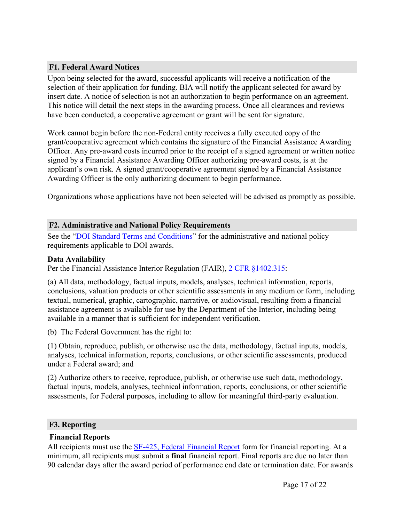# <span id="page-17-0"></span>**F1. Federal Award Notices**

Upon being selected for the award, successful applicants will receive a notification of the selection of their application for funding. BIA will notify the applicant selected for award by insert date. A notice of selection is not an authorization to begin performance on an agreement. This notice will detail the next steps in the awarding process. Once all clearances and reviews have been conducted, a cooperative agreement or grant will be sent for signature.

Work cannot begin before the non-Federal entity receives a fully executed copy of the grant/cooperative agreement which contains the signature of the Financial Assistance Awarding Officer. Any pre-award costs incurred prior to the receipt of a signed agreement or written notice signed by a Financial Assistance Awarding Officer authorizing pre-award costs, is at the applicant's own risk. A signed grant/cooperative agreement signed by a Financial Assistance Awarding Officer is the only authorizing document to begin performance.

Organizations whose applications have not been selected will be advised as promptly as possible.

#### <span id="page-17-1"></span>**F2. Administrative and National Policy Requirements**

See the "DOI Standard Terms and [Conditions"](https://www.doi.gov/grants/doi-standard-terms-and-conditions) for the administrative and national policy requirements applicable to DOI awards.

#### **Data Availability**

Per the Financial Assistance Interior Regulation (FAIR), 2 CFR [§1402.315](https://www.ecfr.gov/cgi-bin/text-idx?SID=1bfd0da1190f850482e94794cca23a5d&mc=true&node=20190830y1.1):

(a) All data, methodology, factual inputs, models, analyses, technical information, reports, conclusions, valuation products or other scientific assessments in any medium or form, including textual, numerical, graphic, cartographic, narrative, or audiovisual, resulting from a financial assistance agreement is available for use by the Department of the Interior, including being available in a manner that is sufficient for independent verification.

(b) The Federal Government has the right to:

(1) Obtain, reproduce, publish, or otherwise use the data, methodology, factual inputs, models, analyses, technical information, reports, conclusions, or other scientific assessments, produced under a Federal award; and

(2) Authorize others to receive, reproduce, publish, or otherwise use such data, methodology, factual inputs, models, analyses, technical information, reports, conclusions, or other scientific assessments, for Federal purposes, including to allow for meaningful third-party evaluation.

#### <span id="page-17-2"></span>**F3. Reporting**

#### **Financial Reports**

All recipients must use the SF-425, Federal [Financial](https://www.grants.gov/web/grants/forms/post-award-reporting-forms.html) Report form for financial reporting. At a minimum, all recipients must submit a **final** financial report. Final reports are due no later than 90 calendar days after the award period of performance end date or termination date. For awards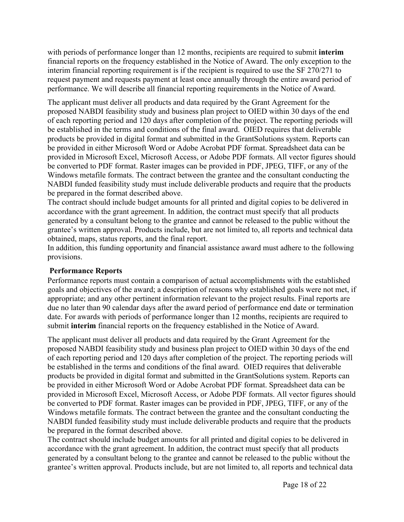with periods of performance longer than 12 months, recipients are required to submit **interim** financial reports on the frequency established in the Notice of Award. The only exception to the interim financial reporting requirement is if the recipient is required to use the SF 270/271 to request payment and requests payment at least once annually through the entire award period of performance. We will describe all financial reporting requirements in the Notice of Award.

The applicant must deliver all products and data required by the Grant Agreement for the proposed NABDI feasibility study and business plan project to OIED within 30 days of the end of each reporting period and 120 days after completion of the project. The reporting periods will be established in the terms and conditions of the final award. OIED requires that deliverable products be provided in digital format and submitted in the GrantSolutions system. Reports can be provided in either Microsoft Word or Adobe Acrobat PDF format. Spreadsheet data can be provided in Microsoft Excel, Microsoft Access, or Adobe PDF formats. All vector figures should be converted to PDF format. Raster images can be provided in PDF, JPEG, TIFF, or any of the Windows metafile formats. The contract between the grantee and the consultant conducting the NABDI funded feasibility study must include deliverable products and require that the products be prepared in the format described above.

The contract should include budget amounts for all printed and digital copies to be delivered in accordance with the grant agreement. In addition, the contract must specify that all products generated by a consultant belong to the grantee and cannot be released to the public without the grantee's written approval. Products include, but are not limited to, all reports and technical data obtained, maps, status reports, and the final report.

In addition, this funding opportunity and financial assistance award must adhere to the following provisions.

#### **Performance Reports**

Performance reports must contain a comparison of actual accomplishments with the established goals and objectives of the award; a description of reasons why established goals were not met, if appropriate; and any other pertinent information relevant to the project results. Final reports are due no later than 90 calendar days after the award period of performance end date or termination date. For awards with periods of performance longer than 12 months, recipients are required to submit **interim** financial reports on the frequency established in the Notice of Award.

The applicant must deliver all products and data required by the Grant Agreement for the proposed NABDI feasibility study and business plan project to OIED within 30 days of the end of each reporting period and 120 days after completion of the project. The reporting periods will be established in the terms and conditions of the final award. OIED requires that deliverable products be provided in digital format and submitted in the GrantSolutions system. Reports can be provided in either Microsoft Word or Adobe Acrobat PDF format. Spreadsheet data can be provided in Microsoft Excel, Microsoft Access, or Adobe PDF formats. All vector figures should be converted to PDF format. Raster images can be provided in PDF, JPEG, TIFF, or any of the Windows metafile formats. The contract between the grantee and the consultant conducting the NABDI funded feasibility study must include deliverable products and require that the products be prepared in the format described above.

The contract should include budget amounts for all printed and digital copies to be delivered in accordance with the grant agreement. In addition, the contract must specify that all products generated by a consultant belong to the grantee and cannot be released to the public without the grantee's written approval. Products include, but are not limited to, all reports and technical data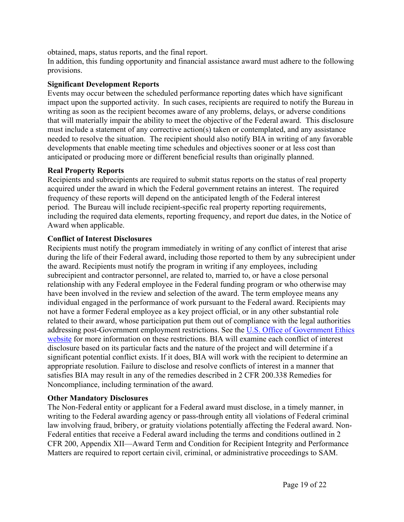obtained, maps, status reports, and the final report.

In addition, this funding opportunity and financial assistance award must adhere to the following provisions.

### **Significant Development Reports**

Events may occur between the scheduled performance reporting dates which have significant impact upon the supported activity. In such cases, recipients are required to notify the Bureau in writing as soon as the recipient becomes aware of any problems, delays, or adverse conditions that will materially impair the ability to meet the objective of the Federal award. This disclosure must include a statement of any corrective action(s) taken or contemplated, and any assistance needed to resolve the situation. The recipient should also notify BIA in writing of any favorable developments that enable meeting time schedules and objectives sooner or at less cost than anticipated or producing more or different beneficial results than originally planned.

# **Real Property Reports**

Recipients and subrecipients are required to submit status reports on the status of real property acquired under the award in which the Federal government retains an interest. The required frequency of these reports will depend on the anticipated length of the Federal interest period. The Bureau will include recipient-specific real property reporting requirements, including the required data elements, reporting frequency, and report due dates, in the Notice of Award when applicable.

# **Conflict of Interest Disclosures**

Recipients must notify the program immediately in writing of any conflict of interest that arise during the life of their Federal award, including those reported to them by any subrecipient under the award. Recipients must notify the program in writing if any employees, including subrecipient and contractor personnel, are related to, married to, or have a close personal relationship with any Federal employee in the Federal funding program or who otherwise may have been involved in the review and selection of the award. The term employee means any individual engaged in the performance of work pursuant to the Federal award. Recipients may not have a former Federal employee as a key project official, or in any other substantial role related to their award, whose participation put them out of compliance with the legal authorities addressing post-Government employment restrictions. See the U.S. Office of [Government](https://oge.gov/) Ethics [website](https://oge.gov/) for more information on these restrictions. BIA will examine each conflict of interest disclosure based on its particular facts and the nature of the project and will determine if a significant potential conflict exists. If it does, BIA will work with the recipient to determine an appropriate resolution. Failure to disclose and resolve conflicts of interest in a manner that satisfies BIA may result in any of the remedies described in 2 CFR 200.338 Remedies for Noncompliance, including termination of the award.

#### **Other Mandatory Disclosures**

The Non-Federal entity or applicant for a Federal award must disclose, in a timely manner, in writing to the Federal awarding agency or pass-through entity all violations of Federal criminal law involving fraud, bribery, or gratuity violations potentially affecting the Federal award. Non-Federal entities that receive a Federal award including the terms and conditions outlined in 2 CFR 200, Appendix XII—Award Term and Condition for Recipient Integrity and Performance Matters are required to report certain civil, criminal, or administrative proceedings to SAM.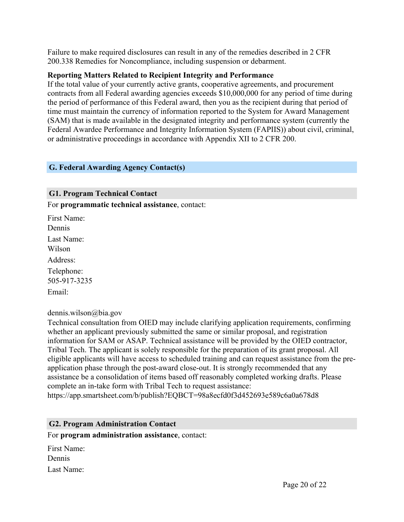Failure to make required disclosures can result in any of the remedies described in 2 CFR 200.338 Remedies for Noncompliance, including suspension or debarment.

#### **Reporting Matters Related to Recipient Integrity and Performance**

If the total value of your currently active grants, cooperative agreements, and procurement contracts from all Federal awarding agencies exceeds \$10,000,000 for any period of time during the period of performance of this Federal award, then you as the recipient during that period of time must maintain the currency of information reported to the System for Award Management (SAM) that is made available in the designated integrity and performance system (currently the Federal Awardee Performance and Integrity Information System (FAPIIS)) about civil, criminal, or administrative proceedings in accordance with Appendix XII to 2 CFR 200.

#### <span id="page-20-0"></span>**G. Federal Awarding Agency Contact(s)**

<span id="page-20-1"></span>**G1. Program Technical Contact** For **programmatic technical assistance**, contact:

First Name: Dennis Last Name: Wilson Address: Telephone: 505-917-3235 Email:

dennis.wilson@bia.gov

Technical consultation from OIED may include clarifying application requirements, confirming whether an applicant previously submitted the same or similar proposal, and registration information for SAM or ASAP. Technical assistance will be provided by the OIED contractor, Tribal Tech. The applicant is solely responsible for the preparation of its grant proposal. All eligible applicants will have access to scheduled training and can request assistance from the preapplication phase through the post-award close-out. It is strongly recommended that any assistance be a consolidation of items based off reasonably completed working drafts. Please complete an in-take form with Tribal Tech to request assistance: https://app.smartsheet.com/b/publish?EQBCT=98a8ecfd0f3d452693e589c6a0a678d8

#### <span id="page-20-2"></span>**G2. Program Administration Contact**

For **program administration assistance**, contact:

First Name: Dennis Last Name: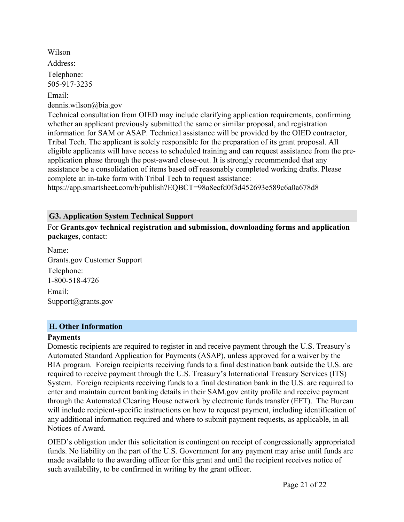Wilson Address: Telephone: 505-917-3235 Email: dennis.wilson@bia.gov

Technical consultation from OIED may include clarifying application requirements, confirming whether an applicant previously submitted the same or similar proposal, and registration information for SAM or ASAP. Technical assistance will be provided by the OIED contractor, Tribal Tech. The applicant is solely responsible for the preparation of its grant proposal. All eligible applicants will have access to scheduled training and can request assistance from the preapplication phase through the post-award close-out. It is strongly recommended that any assistance be a consolidation of items based off reasonably completed working drafts. Please complete an in-take form with Tribal Tech to request assistance:

https://app.smartsheet.com/b/publish?EQBCT=98a8ecfd0f3d452693e589c6a0a678d8

#### <span id="page-21-0"></span>**G3. Application System Technical Support**

For **Grants.gov technical registration and submission, downloading forms and application packages**, contact:

Name: Grants.gov Customer Support Telephone: 1-800-518-4726 Email: Support@grants.gov

#### <span id="page-21-1"></span>**H. Other Information**

#### **Payments**

Domestic recipients are required to register in and receive payment through the U.S. Treasury's Automated Standard Application for Payments (ASAP), unless approved for a waiver by the BIA program. Foreign recipients receiving funds to a final destination bank outside the U.S. are required to receive payment through the U.S. Treasury's International Treasury Services (ITS) System. Foreign recipients receiving funds to a final destination bank in the U.S. are required to enter and maintain current banking details in their SAM.gov entity profile and receive payment through the Automated Clearing House network by electronic funds transfer (EFT). The Bureau will include recipient-specific instructions on how to request payment, including identification of any additional information required and where to submit payment requests, as applicable, in all Notices of Award.

OIED's obligation under this solicitation is contingent on receipt of congressionally appropriated funds. No liability on the part of the U.S. Government for any payment may arise until funds are made available to the awarding officer for this grant and until the recipient receives notice of such availability, to be confirmed in writing by the grant officer.